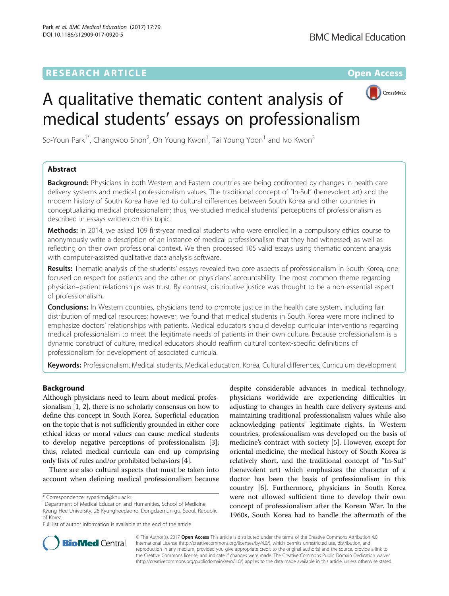

# A qualitative thematic content analysis of medical students' essays on professionalism

So-Youn Park<sup>1\*</sup>, Changwoo Shon<sup>2</sup>, Oh Young Kwon<sup>1</sup>, Tai Young Yoon<sup>1</sup> and Ivo Kwon<sup>3</sup>

# Abstract

Background: Physicians in both Western and Eastern countries are being confronted by changes in health care delivery systems and medical professionalism values. The traditional concept of "In-Sul" (benevolent art) and the modern history of South Korea have led to cultural differences between South Korea and other countries in conceptualizing medical professionalism; thus, we studied medical students' perceptions of professionalism as described in essays written on this topic.

Methods: In 2014, we asked 109 first-year medical students who were enrolled in a compulsory ethics course to anonymously write a description of an instance of medical professionalism that they had witnessed, as well as reflecting on their own professional context. We then processed 105 valid essays using thematic content analysis with computer-assisted qualitative data analysis software.

Results: Thematic analysis of the students' essays revealed two core aspects of professionalism in South Korea, one focused on respect for patients and the other on physicians' accountability. The most common theme regarding physician–patient relationships was trust. By contrast, distributive justice was thought to be a non-essential aspect of professionalism.

**Conclusions:** In Western countries, physicians tend to promote justice in the health care system, including fair distribution of medical resources; however, we found that medical students in South Korea were more inclined to emphasize doctors' relationships with patients. Medical educators should develop curricular interventions regarding medical professionalism to meet the legitimate needs of patients in their own culture. Because professionalism is a dynamic construct of culture, medical educators should reaffirm cultural context-specific definitions of professionalism for development of associated curricula.

Keywords: Professionalism, Medical students, Medical education, Korea, Cultural differences, Curriculum development

# Background

Although physicians need to learn about medical professionalism [\[1, 2\]](#page-4-0), there is no scholarly consensus on how to define this concept in South Korea. Superficial education on the topic that is not sufficiently grounded in either core ethical ideas or moral values can cause medical students to develop negative perceptions of professionalism [[3](#page-4-0)]; thus, related medical curricula can end up comprising only lists of rules and/or prohibited behaviors [\[4](#page-4-0)].

There are also cultural aspects that must be taken into account when defining medical professionalism because

despite considerable advances in medical technology, physicians worldwide are experiencing difficulties in adjusting to changes in health care delivery systems and maintaining traditional professionalism values while also acknowledging patients' legitimate rights. In Western countries, professionalism was developed on the basis of medicine's contract with society [[5\]](#page-4-0). However, except for oriental medicine, the medical history of South Korea is relatively short, and the traditional concept of "In-Sul" (benevolent art) which emphasizes the character of a doctor has been the basis of professionalism in this country [[6](#page-5-0)]. Furthermore, physicians in South Korea were not allowed sufficient time to develop their own concept of professionalism after the Korean War. In the 1960s, South Korea had to handle the aftermath of the



© The Author(s). 2017 **Open Access** This article is distributed under the terms of the Creative Commons Attribution 4.0 International License [\(http://creativecommons.org/licenses/by/4.0/](http://creativecommons.org/licenses/by/4.0/)), which permits unrestricted use, distribution, and reproduction in any medium, provided you give appropriate credit to the original author(s) and the source, provide a link to the Creative Commons license, and indicate if changes were made. The Creative Commons Public Domain Dedication waiver [\(http://creativecommons.org/publicdomain/zero/1.0/](http://creativecommons.org/publicdomain/zero/1.0/)) applies to the data made available in this article, unless otherwise stated.

<sup>\*</sup> Correspondence: [syparkmd@khu.ac.kr](mailto:syparkmd@khu.ac.kr) <sup>1</sup>

<sup>&</sup>lt;sup>1</sup> Department of Medical Education and Humanities, School of Medicine, Kyung Hee University, 26 Kyungheedae-ro, Dongdaemun-gu, Seoul, Republic of Korea

Full list of author information is available at the end of the article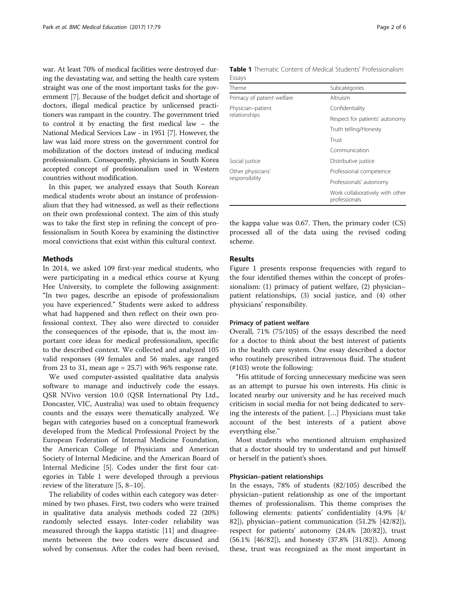war. At least 70% of medical facilities were destroyed during the devastating war, and setting the health care system straight was one of the most important tasks for the government [[7\]](#page-5-0). Because of the budget deficit and shortage of doctors, illegal medical practice by unlicensed practitioners was rampant in the country. The government tried to control it by enacting the first medical law – the National Medical Services Law - in 1951 [\[7\]](#page-5-0). However, the law was laid more stress on the government control for mobilization of the doctors instead of inducing medical professionalism. Consequently, physicians in South Korea accepted concept of professionalism used in Western countries without modification.

In this paper, we analyzed essays that South Korean medical students wrote about an instance of professionalism that they had witnessed, as well as their reflections on their own professional context. The aim of this study was to take the first step in refining the concept of professionalism in South Korea by examining the distinctive moral convictions that exist within this cultural context.

# **Methods**

In 2014, we asked 109 first-year medical students, who were participating in a medical ethics course at Kyung Hee University, to complete the following assignment: "In two pages, describe an episode of professionalism you have experienced." Students were asked to address what had happened and then reflect on their own professional context. They also were directed to consider the consequences of the episode, that is, the most important core ideas for medical professionalism, specific to the described context. We collected and analyzed 105 valid responses (49 females and 56 males, age ranged from 23 to 31, mean age  $= 25.7$ ) with 96% response rate.

We used computer-assisted qualitative data analysis software to manage and inductively code the essays. QSR NVivo version 10.0 (QSR International Pty Ltd., Doncaster, VIC, Australia) was used to obtain frequency counts and the essays were thematically analyzed. We began with categories based on a conceptual framework developed from the Medical Professional Project by the European Federation of Internal Medicine Foundation, the American College of Physicians and American Society of Internal Medicine, and the American Board of Internal Medicine [\[5](#page-4-0)]. Codes under the first four categories in Table 1 were developed through a previous review of the literature [\[5](#page-4-0), [8](#page-5-0)–[10\]](#page-5-0).

The reliability of codes within each category was determined by two phases. First, two coders who were trained in qualitative data analysis methods coded 22 (20%) randomly selected essays. Inter-coder reliability was measured through the kappa statistic [\[11](#page-5-0)] and disagreements between the two coders were discussed and solved by consensus. After the codes had been revised,

|        | <b>Table 1</b> Thematic Content of Medical Students' Professionalism |  |  |
|--------|----------------------------------------------------------------------|--|--|
| Essays |                                                                      |  |  |

| Theme                      | Subcategories                                    |  |  |
|----------------------------|--------------------------------------------------|--|--|
| Primacy of patient welfare | Altruism                                         |  |  |
| Physician-patient          | Confidentiality                                  |  |  |
| relationships              | Respect for patients' autonomy                   |  |  |
|                            | Truth telling/Honesty                            |  |  |
|                            | Trust                                            |  |  |
|                            | Communication                                    |  |  |
| Social justice             | Distributive justice                             |  |  |
| Other physicians'          | Professional competence                          |  |  |
| responsibility             | Professionals' autonomy                          |  |  |
|                            | Work collaboratively with other<br>professionals |  |  |

the kappa value was 0.67. Then, the primary coder (CS) processed all of the data using the revised coding scheme.

# Results

Figure [1](#page-2-0) presents response frequencies with regard to the four identified themes within the concept of professionalism: (1) primacy of patient welfare, (2) physician– patient relationships, (3) social justice, and (4) other physicians' responsibility.

## Primacy of patient welfare

Overall, 71% (75/105) of the essays described the need for a doctor to think about the best interest of patients in the health care system. One essay described a doctor who routinely prescribed intravenous fluid. The student (#103) wrote the following:

"His attitude of forcing unnecessary medicine was seen as an attempt to pursue his own interests. His clinic is located nearby our university and he has received much criticism in social media for not being dedicated to serving the interests of the patient. […] Physicians must take account of the best interests of a patient above everything else."

Most students who mentioned altruism emphasized that a doctor should try to understand and put himself or herself in the patient's shoes.

# Physician–patient relationships

In the essays, 78% of students (82/105) described the physician–patient relationship as one of the important themes of professionalism. This theme comprises the following elements: patients' confidentiality (4.9% [4/ 82]), physician–patient communication (51.2% [42/82]), respect for patients' autonomy (24.4% [20/82]), trust (56.1% [46/82]), and honesty (37.8% [31/82]). Among these, trust was recognized as the most important in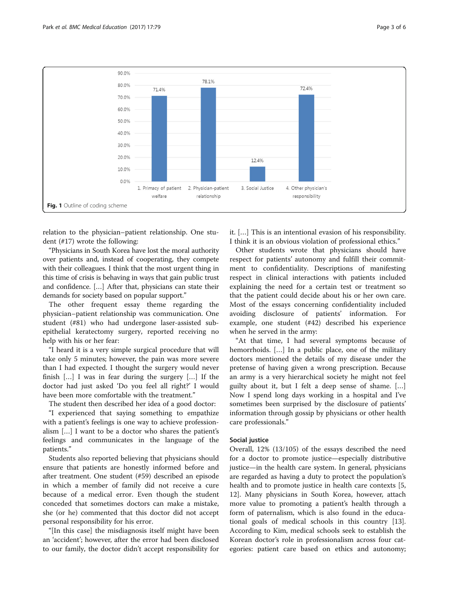<span id="page-2-0"></span>

relation to the physician–patient relationship. One student (#17) wrote the following:

"Physicians in South Korea have lost the moral authority over patients and, instead of cooperating, they compete with their colleagues. I think that the most urgent thing in this time of crisis is behaving in ways that gain public trust and confidence. […] After that, physicians can state their demands for society based on popular support."

The other frequent essay theme regarding the physician–patient relationship was communication. One student (#81) who had undergone laser-assisted subepithelial keratectomy surgery, reported receiving no help with his or her fear:

"I heard it is a very simple surgical procedure that will take only 5 minutes; however, the pain was more severe than I had expected. I thought the surgery would never finish […] I was in fear during the surgery […] If the doctor had just asked 'Do you feel all right?' I would have been more comfortable with the treatment."

The student then described her idea of a good doctor:

"I experienced that saying something to empathize with a patient's feelings is one way to achieve professionalism […] I want to be a doctor who shares the patient's feelings and communicates in the language of the patients."

Students also reported believing that physicians should ensure that patients are honestly informed before and after treatment. One student (#59) described an episode in which a member of family did not receive a cure because of a medical error. Even though the student conceded that sometimes doctors can make a mistake, she (or he) commented that this doctor did not accept personal responsibility for his error.

"[In this case] the misdiagnosis itself might have been an 'accident'; however, after the error had been disclosed to our family, the doctor didn't accept responsibility for it. […] This is an intentional evasion of his responsibility. I think it is an obvious violation of professional ethics."

Other students wrote that physicians should have respect for patients' autonomy and fulfill their commitment to confidentiality. Descriptions of manifesting respect in clinical interactions with patients included explaining the need for a certain test or treatment so that the patient could decide about his or her own care. Most of the essays concerning confidentiality included avoiding disclosure of patients' information. For example, one student (#42) described his experience when he served in the army:

"At that time, I had several symptoms because of hemorrhoids. [...] In a public place, one of the military doctors mentioned the details of my disease under the pretense of having given a wrong prescription. Because an army is a very hierarchical society he might not feel guilty about it, but I felt a deep sense of shame. […] Now I spend long days working in a hospital and I've sometimes been surprised by the disclosure of patients' information through gossip by physicians or other health care professionals."

## Social justice

Overall, 12% (13/105) of the essays described the need for a doctor to promote justice—especially distributive justice—in the health care system. In general, physicians are regarded as having a duty to protect the population's health and to promote justice in health care contexts [\[5](#page-4-0), [12\]](#page-5-0). Many physicians in South Korea, however, attach more value to promoting a patient's health through a form of paternalism, which is also found in the educational goals of medical schools in this country [\[13](#page-5-0)]. According to Kim, medical schools seek to establish the Korean doctor's role in professionalism across four categories: patient care based on ethics and autonomy;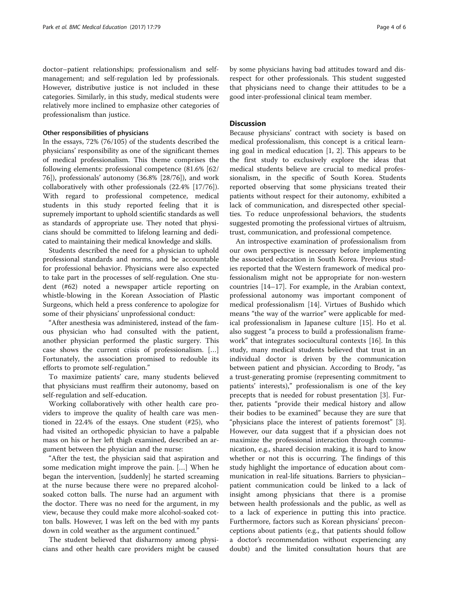doctor–patient relationships; professionalism and selfmanagement; and self-regulation led by professionals. However, distributive justice is not included in these categories. Similarly, in this study, medical students were relatively more inclined to emphasize other categories of professionalism than justice.

## Other responsibilities of physicians

In the essays, 72% (76/105) of the students described the physicians' responsibility as one of the significant themes of medical professionalism. This theme comprises the following elements: professional competence (81.6% [62/ 76]), professionals' autonomy (36.8% [28/76]), and work collaboratively with other professionals (22.4% [17/76]). With regard to professional competence, medical students in this study reported feeling that it is supremely important to uphold scientific standards as well as standards of appropriate use. They noted that physicians should be committed to lifelong learning and dedicated to maintaining their medical knowledge and skills.

Students described the need for a physician to uphold professional standards and norms, and be accountable for professional behavior. Physicians were also expected to take part in the processes of self-regulation. One student (#62) noted a newspaper article reporting on whistle-blowing in the Korean Association of Plastic Surgeons, which held a press conference to apologize for some of their physicians' unprofessional conduct:

"After anesthesia was administered, instead of the famous physician who had consulted with the patient, another physician performed the plastic surgery. This case shows the current crisis of professionalism. […] Fortunately, the association promised to redouble its efforts to promote self-regulation."

To maximize patients' care, many students believed that physicians must reaffirm their autonomy, based on self-regulation and self-education.

Working collaboratively with other health care providers to improve the quality of health care was mentioned in 22.4% of the essays. One student (#25), who had visited an orthopedic physician to have a palpable mass on his or her left thigh examined, described an argument between the physician and the nurse:

"After the test, the physician said that aspiration and some medication might improve the pain. […] When he began the intervention, [suddenly] he started screaming at the nurse because there were no prepared alcoholsoaked cotton balls. The nurse had an argument with the doctor. There was no need for the argument, in my view, because they could make more alcohol-soaked cotton balls. However, I was left on the bed with my pants down in cold weather as the argument continued."

The student believed that disharmony among physicians and other health care providers might be caused by some physicians having bad attitudes toward and disrespect for other professionals. This student suggested that physicians need to change their attitudes to be a good inter-professional clinical team member.

# **Discussion**

Because physicians' contract with society is based on medical professionalism, this concept is a critical learning goal in medical education [[1, 2](#page-4-0)]. This appears to be the first study to exclusively explore the ideas that medical students believe are crucial to medical professionalism, in the specific of South Korea. Students reported observing that some physicians treated their patients without respect for their autonomy, exhibited a lack of communication, and disrespected other specialties. To reduce unprofessional behaviors, the students suggested promoting the professional virtues of altruism, trust, communication, and professional competence.

An introspective examination of professionalism from our own perspective is necessary before implementing the associated education in South Korea. Previous studies reported that the Western framework of medical professionalism might not be appropriate for non-western countries [\[14](#page-5-0)–[17\]](#page-5-0). For example, in the Arabian context, professional autonomy was important component of medical professionalism [\[14](#page-5-0)]. Virtues of Bushido which means "the way of the warrior" were applicable for medical professionalism in Japanese culture [\[15](#page-5-0)]. Ho et al. also suggest "a process to build a professionalism framework" that integrates sociocultural contexts [[16](#page-5-0)]. In this study, many medical students believed that trust in an individual doctor is driven by the communication between patient and physician. According to Brody, "as a trust-generating promise (representing commitment to patients' interests)," professionalism is one of the key precepts that is needed for robust presentation [\[3](#page-4-0)]. Further, patients "provide their medical history and allow their bodies to be examined" because they are sure that "physicians place the interest of patients foremost" [\[3](#page-4-0)]. However, our data suggest that if a physician does not maximize the professional interaction through communication, e.g., shared decision making, it is hard to know whether or not this is occurring. The findings of this study highlight the importance of education about communication in real-life situations. Barriers to physician– patient communication could be linked to a lack of insight among physicians that there is a promise between health professionals and the public, as well as to a lack of experience in putting this into practice. Furthermore, factors such as Korean physicians' preconceptions about patients (e.g., that patients should follow a doctor's recommendation without experiencing any doubt) and the limited consultation hours that are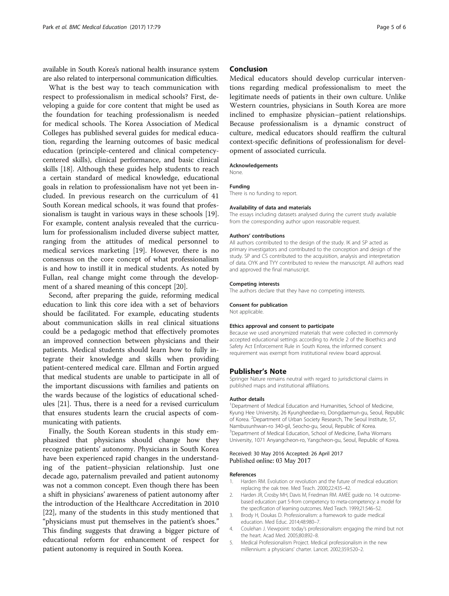<span id="page-4-0"></span>available in South Korea's national health insurance system are also related to interpersonal communication difficulties.

What is the best way to teach communication with respect to professionalism in medical schools? First, developing a guide for core content that might be used as the foundation for teaching professionalism is needed for medical schools. The Korea Association of Medical Colleges has published several guides for medical education, regarding the learning outcomes of basic medical education (principle-centered and clinical competencycentered skills), clinical performance, and basic clinical skills [\[18](#page-5-0)]. Although these guides help students to reach a certain standard of medical knowledge, educational goals in relation to professionalism have not yet been included. In previous research on the curriculum of 41 South Korean medical schools, it was found that professionalism is taught in various ways in these schools [\[19](#page-5-0)]. For example, content analysis revealed that the curriculum for professionalism included diverse subject matter, ranging from the attitudes of medical personnel to medical services marketing [[19](#page-5-0)]. However, there is no consensus on the core concept of what professionalism is and how to instill it in medical students. As noted by Fullan, real change might come through the development of a shared meaning of this concept [[20\]](#page-5-0).

Second, after preparing the guide, reforming medical education to link this core idea with a set of behaviors should be facilitated. For example, educating students about communication skills in real clinical situations could be a pedagogic method that effectively promotes an improved connection between physicians and their patients. Medical students should learn how to fully integrate their knowledge and skills when providing patient-centered medical care. Ellman and Fortin argued that medical students are unable to participate in all of the important discussions with families and patients on the wards because of the logistics of educational schedules [\[21](#page-5-0)]. Thus, there is a need for a revised curriculum that ensures students learn the crucial aspects of communicating with patients.

Finally, the South Korean students in this study emphasized that physicians should change how they recognize patients' autonomy. Physicians in South Korea have been experienced rapid changes in the understanding of the patient–physician relationship. Just one decade ago, paternalism prevailed and patient autonomy was not a common concept. Even though there has been a shift in physicians' awareness of patient autonomy after the introduction of the Healthcare Accreditation in 2010 [[22\]](#page-5-0), many of the students in this study mentioned that "physicians must put themselves in the patient's shoes." This finding suggests that drawing a bigger picture of educational reform for enhancement of respect for patient autonomy is required in South Korea.

## Conclusion

Medical educators should develop curricular interventions regarding medical professionalism to meet the legitimate needs of patients in their own culture. Unlike Western countries, physicians in South Korea are more inclined to emphasize physician–patient relationships. Because professionalism is a dynamic construct of culture, medical educators should reaffirm the cultural context-specific definitions of professionalism for development of associated curricula.

#### Acknowledgements

None.

#### Funding

There is no funding to report.

#### Availability of data and materials

The essays including datasets analysed during the current study available from the corresponding author upon reasonable request.

#### Authors' contributions

All authors contributed to the design of the study. IK and SP acted as primary investigators and contributed to the conception and design of the study. SP and CS contributed to the acquisition, analysis and interpretation of data. OYK and TYY contributed to review the manuscript. All authors read and approved the final manuscript.

#### Competing interests

The authors declare that they have no competing interests.

#### Consent for publication

Not applicable.

#### Ethics approval and consent to participate

Because we used anonymized materials that were collected in commonly accepted educational settings according to Article 2 of the Bioethics and Safety Act Enforcement Rule in South Korea, the informed consent requirement was exempt from institutional review board approval.

#### Publisher's Note

Springer Nature remains neutral with regard to jurisdictional claims in published maps and institutional affiliations.

#### Author details

<sup>1</sup>Department of Medical Education and Humanities, School of Medicine Kyung Hee University, 26 Kyungheedae-ro, Dongdaemun-gu, Seoul, Republic of Korea. <sup>2</sup>Department of Urban Society Research, The Seoul Institute, 57 Nambusunhwan-ro 340-gil, Seocho-gu, Seoul, Republic of Korea. <sup>3</sup> Department of Medical Education, School of Medicine, Ewha Womans University, 1071 Anyangcheon-ro, Yangcheon-gu, Seoul, Republic of Korea.

### Received: 30 May 2016 Accepted: 26 April 2017 Published online: 03 May 2017

#### References

- 1. Harden RM. Evolution or revolution and the future of medical education: replacing the oak tree. Med Teach. 2000;22:435–42.
- 2. Harden JR, Crosby MH, Davis M, Friedman RM. AMEE guide no. 14: outcomebased education: part 5-from competency to meta-competency: a model for the specification of learning outcomes. Med Teach. 1999;21:546–52.
- 3. Brody H, Doukas D. Professionalism: a framework to guide medical education. Med Educ. 2014;48:980–7.
- 4. Coulehan J. Viewpoint: today's professionalism: engaging the mind but not the heart. Acad Med. 2005;80:892–8.
- 5. Medical Professionalism Project. Medical professionalism in the new millennium: a physicians' charter. Lancet. 2002;359:520–2.